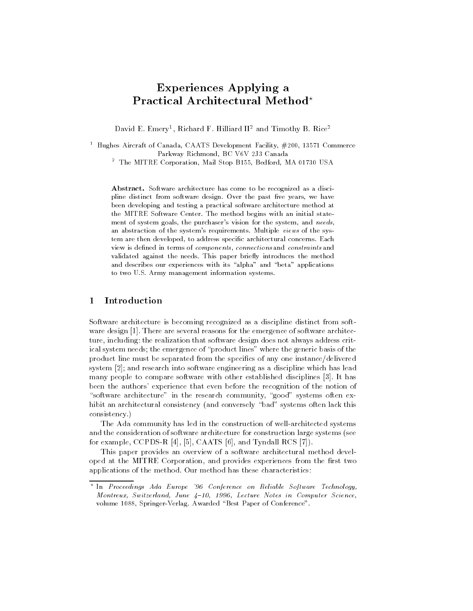# Experiences Applying a Practical Architectural Method?

David E. Emery", Kichard F. Hilliard II" and Timothy B. Rice<sup>-</sup> –

 $^{\circ}$  -Hughes Aircraft of Canada, CAATS Development Facility, #200, 13571 Commerce Parkway Richmond, BC V6V 2J3 Canada

<sup>2</sup> The MITRE Corporation, Mail Stop B155, Bedford, MA 01730 USA

Abstract. Software architecture has come to be recognized as a discipline distinct from software design. Over the past five years, we have been developing and testing a practical software architecture method at the MITRE Software Center. The method begins with an initial state ment of system goals, the purchaser's vision for the system, and needs, an abstraction of the system's requirements. Multiple views of the system are then developed, to address specific architectural concerns. Each view is defined in terms of *components*, *connections* and *constraints* and validated against the needs. This paper briefly introduces the method and describes our experiences with its "alpha" and "beta" applications to two U.S. Army management information systems.

# 1 Introduction

Software architecture is becoming recognized as a discipline distinct from soft ware design [1]. There are several reasons for the emergence of software architecture, including: the realization that software design does not always address critical system needs; the emergence of \product lines" where the generic basis of the product line must be separated from the specifics of any one instance/delivered system [2]; and research into software engineering as a discipline which has lead many people to compare software with other established disciplines [3]. It has been the authors' experience that even before the recognition of the notion of "software architecture" in the research community, "good" systems often exhibit an architectural consistency (and conversely "bad" systems often lack this consistency.)

The Ada community has led in the construction of well-architected systems and the consideration of software architecture for construction large systems (see for example, CCPDS-R [4], [5], CAATS [6], and Tyndall RCS [7]).

This paper provides an overview of a software architectural method developed at the MITRE Corporation, and provides experiences from the first two applications of the method. Our method has these characteristics:

<sup>?</sup> In Proceedings Ada Europe '96 Conference on Reliable Software Technology, Montreux, Switzerland, June  $4-10$ , 1996, Lecture Notes in Computer Science, volume 1088, Springer-Verlag. Awarded "Best Paper of Conference".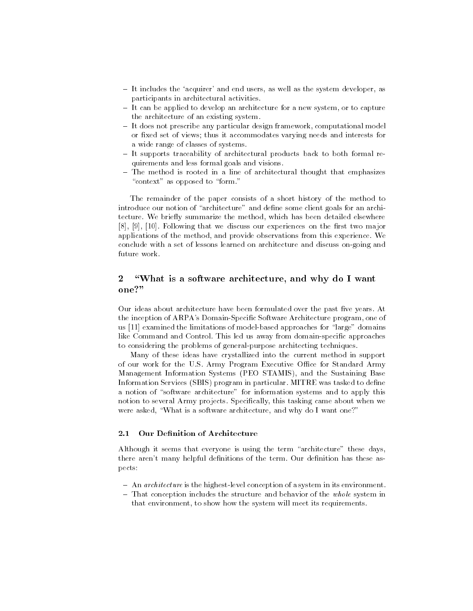- { It includes the `acquirer' and end users, as well as the system developer, as participants in architectural activities.
- ${\rm -}$  It can be applied to develop an architecture for a new system, or to capture the architecture of an existing system.
- { It does not prescribe any particular design framework, computational model or fixed set of views; thus it accommodates varying needs and interests for a wide range of classes of systems.
- { It supports traceability of architectural products back to both formal requirements and less formal goals and visions.
- $-$  The method is rooted in a line of architectural thought that emphasizes "context" as opposed to "form."

The remainder of the paper consists of a short history of the method to introduce our notion of "architecture" and define some client goals for an architecture. We briefly summarize the method, which has been detailed elsewhere [8], [9], [10]. Following that we discuss our experiences on the first two major applications of the method, and provide observations from this experience. We conclude with a set of lessons learned on architecture and discuss on-going and future work.

#### "What is a software architecture, and why do I want  $\mathbf{2}$ one?"

Our ideas about architecture have been formulated over the past five years. At the inception of ARPA's Domain-Specific Software Architecture program, one of us [11] examined the limitations of model-based approaches for "large" domains like Command and Control. This led us away from domain-specic approaches to considering the problems of general-purpose architecting techniques.

Many of these ideas have crystallized into the current method in support of our work for the U.S. Army Program Executive Office for Standard Army Management Information Systems (PEO STAMIS), and the Sustaining Base Information Services (SBIS) program in particular. MITRE was tasked to dene a notion of "software architecture" for information systems and to apply this notion to several Army projects. Specifically, this tasking came about when we were asked, "What is a software architecture, and why do I want one?"

# 2.1 Our Definition of Architecture

Although it seems that everyone is using the term "architecture" these days, there aren't many helpful definitions of the term. Our definition has these aspects:

- ${\bf -}$  An *architecture* is the highest-level conception of a system in its environment.
- ${\bf -}$  That conception includes the structure and behavior of the whole system in that environment, to show how the system will meet its requirements.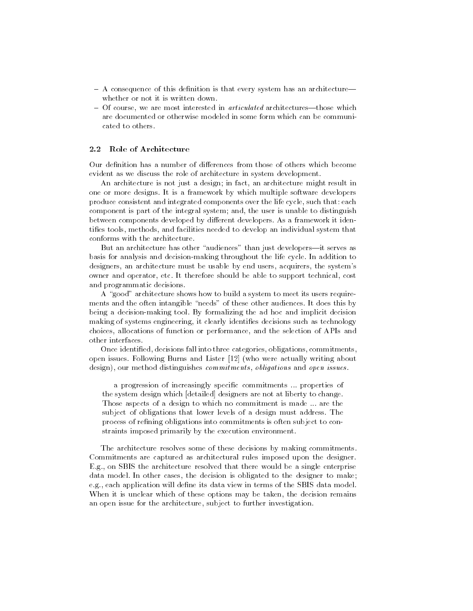- $-$  A consequence of this definition is that every system has an architecture whether or not it is written down.
- ${\bf -}$  Of course, we are most interested in *articulated* architectures—those which are documented or otherwise modeled in some form which can be communicated to others.

#### Role of Architecture  $2.2$

Our definition has a number of differences from those of others which become evident as we discuss the role of architecture in system development.

An architecture is not just a design; in fact, an architecture might result in one or more designs. It is a framework by which multiple software developers produce consistent and integrated components over the life cycle, such that: each component is part of the integral system; and, the user is unable to distinguish between components developed by different developers. As a framework it identifies tools, methods, and facilities needed to develop an individual system that conforms with the architecture.

But an architecture has other "audiences" than just developers-it serves as basis for analysis and decision-making throughout the life cycle. In addition to designers, an architecture must be usable by end users, acquirers, the system's owner and operator, etc. It therefore should be able to support technical, cost and programmatic decisions.

A "good" architecture shows how to build a system to meet its users requirements and the often intangible "needs" of these other audiences. It does this by being a decision-making tool. By formalizing the ad hoc and implicit decision making of systems engineering, it clearly identifies decisions such as technology choices, allocations of function or performance, and the selection of APIs and other interfaces.

Once identified, decisions fall into three categories, obligations, commitments, open issues. Following Burns and Lister [12] (who were actually writing about design), our method distinguishes *commitments*, *obligations* and *open issues*.

a progression of increasingly specic commitments ... properties of the system design which [detailed] designers are not at liberty to change. Those aspects of a design to which no commitment is made ... are the subject of obligations that lower levels of a design must address. The process of refining obligations into commitments is often subject to constraints imposed primarily by the execution environment.

The architecture resolves some of these decisions by making commitments. Commitments are captured as architectural rules imposed upon the designer. E.g., on SBIS the architecture resolved that there would be a single enterprise data model. In other cases, the decision is obligated to the designer to make; e.g., each application will define its data view in terms of the SBIS data model. When it is unclear which of these options may be taken, the decision remains an open issue for the architecture, subject to further investigation.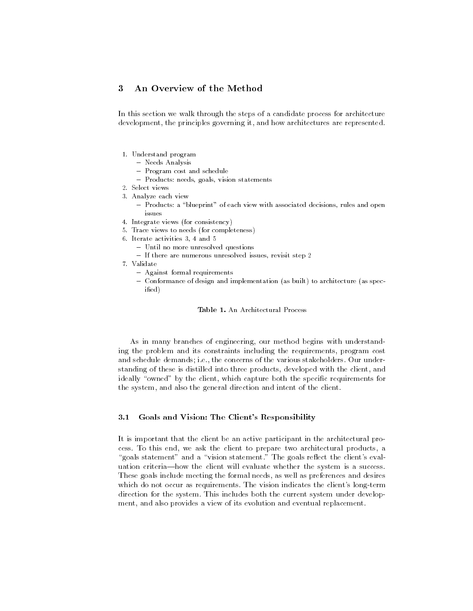#### An Overview of the Method  $\mathbf{3}$

In this section we walk through the steps of a candidate process for architecture development, the principles governing it, and how architectures are represented.

- 1. Understand program
	- $-$  reeds  $A$ nalysis  $-$
	- $-$  1 rogram cost and schedule  $-$
	- ${\bf -}$  r roducts: needs, goals, vision statements
- 2. Select views
- 3. Analyze each view
	- ${\bf -}$  reporters: a  $\bar{\rm}$  proteprint  $\bar{\rm}$  of each view with associated decisions, rules and open issues
- 4. Integrate views (for consistency)
- 5. Trace views to needs (for completeness)
- 6. Iterate activities 3, 4 and 5
	- ${\bf -}$   ${\bf -}$  until no more unresolved questions  ${\bf -}$
	- ${\scriptstyle\mathsf{F}}$  if there are numerous unresolved issues, revisit step 2  ${\scriptstyle\mathsf{F}}$
- 7. Validate
	- $\,$  Against formal requirements  $-$
	- $-$  conformance of design and implementation (as built) to architecture (as specified)

### Table 1. An Architectural Process

As in many branches of engineering, our method begins with understanding the problem and its constraints including the requirements, program cost and schedule demands; i.e., the concerns of the various stakeholders. Our understanding of these is distilled into three products, developed with the client, and ideally "owned" by the client, which capture both the specific requirements for the system, and also the general direction and intent of the client.

# 3.1 Goals and Vision: The Client's Responsibility

It is important that the client be an active participant in the architectural process. To this end, we ask the client to prepare two architectural products, a "goals statement" and a "vision statement." The goals reflect the client's evaluation criteria-how the client will evaluate whether the system is a success. These goals include meeting the formal needs, as well as preferences and desires which do not occur as requirements. The vision indicates the client's long-term direction for the system. This includes both the current system under develop ment, and also provides a view of its evolution and eventual replacement.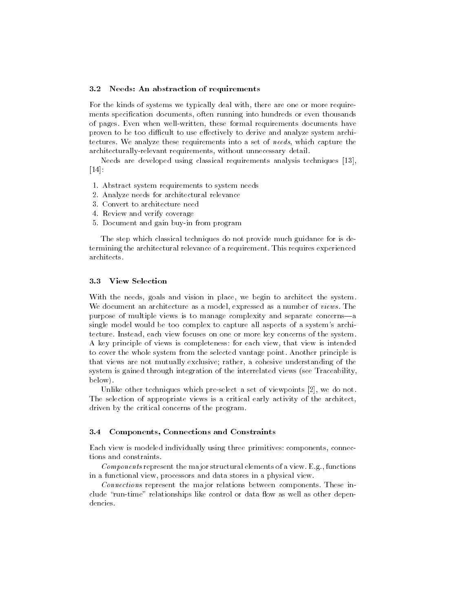### 3.2 Needs: An abstraction of requirements

For the kinds of systems we typically deal with, there are one or more require ments specication documents, often running into hundreds or even thousands of pages. Even when well-written, these formal requirements documents have proven to be too difficult to use effectively to derive and analyze system architectures. We analyze these requirements into a set of needs, which capture the architecturally-relevant requirements, without unnecessary detail.

Needs are developed using classical requirements analysis techniques [13], [14]:

- 1. Abstract system requirements to system needs
- 2. Analyze needs for architectural relevance
- 3. Convert to architecture need
- 4. Review and verify coverage
- 5. Document and gain buy-in from program

The step which classical techniques do not provide much guidance for is determining the architectural relevance of a requirement. This requires experienced architects

# 3.3 View Selection

With the needs, goals and vision in place, we begin to architect the system. We document an architecture as a model, expressed as a number of views. The purpose of multiple views is to manage complexity and separate concerns $\rightarrow$ a single model would be too complex to capture all aspects of a system's architecture. Instead, each view focuses on one or more key concerns of the system. A key principle of views is completeness: for each view, that view is intended to cover the whole system from the selected vantage point. Another principle is that views are not mutually exclusive; rather, a cohesive understanding of the system is gained through integration of the interrelated views (see Traceability, below).

Unlike other techniques which pre-select a set of viewpoints [2], we do not. The selection of appropriate views is a critical early activity of the architect, driven by the critical concerns of the program.

#### $3.4$ 3.4 Components, Connections and Constraints

Each view is modeled individually using three primitives: components, connections and constraints.

*Components* represent the major structural elements of a view. E.g., functions in a functional view, processors and data stores in a physical view.

Connections represent the major relations between components. These include "run-time" relationships like control or data flow as well as other dependencies.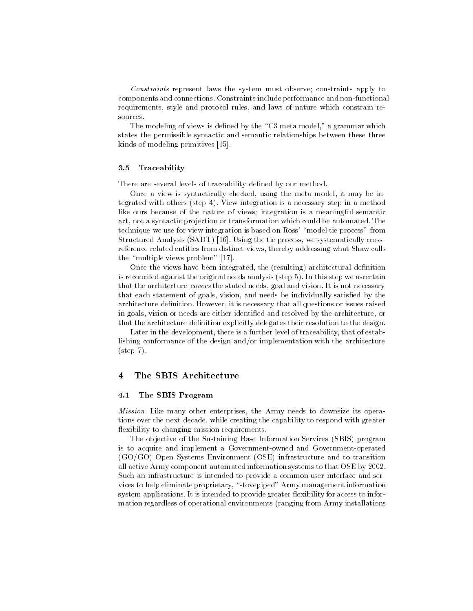Constraints represent laws the system must observe; constraints apply to components and connections. Constraints include performance and non-functional requirements, style and protocol rules, and laws of nature which constrain re-

The modeling of views is defined by the "C3 meta model," a grammar which states the permissible syntactic and semantic relationships between these three kinds of modeling primitives [15].

### 3.5 Traceability

There are several levels of traceability defined by our method.

Once a view is syntactically checked, using the meta model, it may be integrated with others (step 4). View integration is a necessary step in a method like ours because of the nature of views; integration is a meaningful semantic act, not a syntactic projection or transformation which could be automated. The technique we use for view integration is based on Ross' \model tie process" from Structured Analysis (SADT) [16]. Using the tie process, we systematically crossreference related entities from distinct views, thereby addressing what Shaw calls the "multiple views problem"  $[17]$ .

Once the views have been integrated, the (resulting) architectural definition is reconciled against the original needs analysis (step 5). In this step we ascertain that the architecture covers the stated needs, goal and vision. It is not necessary that each statement of goals, vision, and needs be individually satisfied by the architecture definition. However, it is necessary that all questions or issues raised in goals, vision or needs are either identied and resolved by the architecture, or that the architecture definition explicitly delegates their resolution to the design.

Later in the development, there is a further level of traceability, that of establishing conformance of the design and/or implementation with the architecture (step 7).

#### The SBIS Architecture  $\overline{4}$

### 4.1 The SBIS Program

Mission. Like many other enterprises, the Army needs to downsize its operations over the next decade, while creating the capability to respond with greater flexibility to changing mission requirements.

The objective of the Sustaining Base Information Services (SBIS) program is to acquire and implement a Government-owned and Government-operated (GO/GO) Open Systems Environment (OSE) infrastructure and to transition all active Army component automated information systems to that OSE by 2002. Such an infrastructure is intended to provide a common user interface and services to help eliminate proprietary, "stovepiped" Army management information system applications. It is intended to provide greater flexibility for access to information regardless of operational environments (ranging from Army installations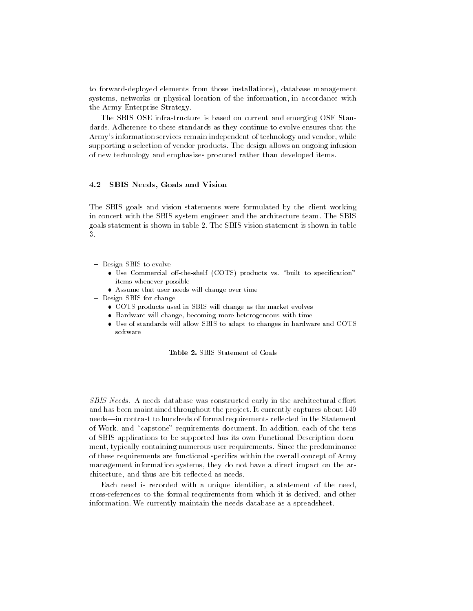to forward-deployed elements from those installations), database management systems, networks or physical location of the information, in accordance with the Army Enterprise Strategy.

The SBIS OSE infrastructure is based on current and emerging OSE Standards. Adherence to these standards as they continue to evolve ensures that the Army's information services remain independent of technology and vendor, while supporting a selection of vendor products. The design allows an ongoing infusion of new technology and emphasizes procured rather than developed items.

### 4.2 SBIS Needs, Goals and Vision

The SBIS goals and vision statements were formulated by the client working in concert with the SBIS system engineer and the architecture team. The SBIS goals statement is shown in table 2. The SBIS vision statement is shown in table 3.

- $-$  Design SDIS to evolve
	- Use Commercial of the shelf (COTS) products vs. Shelf the-specification  $\mathcal{L}_\mathbf{u}$ items whenever possible
	- Assume that user needs will change over time
- $-$  Design SDIS for change  $-$ 
	- COTS products used in SBIS will change as the market evolves
	- Hardware will change, becoming more heterogeneous with time
	- Use of standards will allow SBIS to adapt to changes in hardware and COTS software

Table 2. SBIS Statement of Goals

 $SBIS$  Needs. A needs database was constructed early in the architectural effort and has been maintained throughout the project. It currently captures about 140 needs—in contrast to hundreds of formal requirements reflected in the Statement of Work, and "capstone" requirements document. In addition, each of the tens of SBIS applications to be supported has its own Functional Description docu ment, typically containing numerous user requirements. Since the predominance of these requirements are functional specics within the overall concept of Army management information systems, they do not have a direct impact on the architecture, and thus are bit reflected as needs.

Each need is recorded with a unique identier, a statement of the need, cross-references to the formal requirements from which it is derived, and other information. We currently maintain the needs database as a spreadsheet.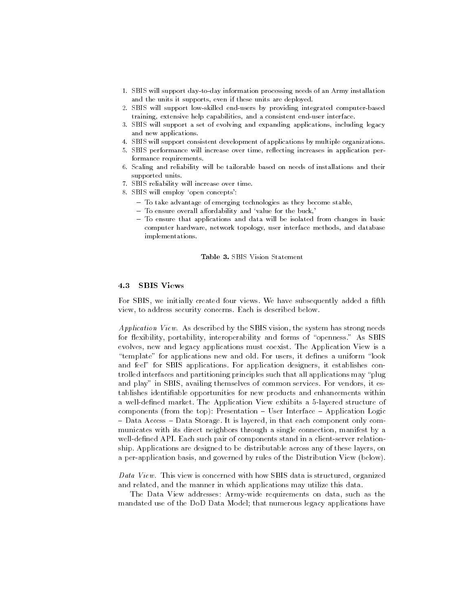- 1. SBIS will support day-to-day information processing needs of an Army installation and the units it supports, even if these units are deployed.
- 2. SBIS will support low-skilled end-users by providing integrated computer-based training, extensive help capabilities, and a consistent end-user interface.
- 3. SBIS will support a set of evolving and expanding applications, including legacy and new applications.
- 4. SBIS will support consistent development of applications by multiple organizations.
- 5. SBIS performance will increase over time, re
ecting increases in application performance requirements.
- 6. Scaling and reliability will be tailorable based on needs of installations and their supported units.
- 7. SBIS reliability will increase over time.
- 8. SBIS will employ `open concepts':
	- ${\bf -}$  to take advantage of emerging technologies as they become stable,
	- $-$  To ensure overall affordability and 'value for the buck,'  $\,$
	- ${\bf -}$  to ensure that applications and data will be isolated from changes in basic  ${\bf -}$ computer hardware, network topology, user interface methods, and database implementations.

Table 3. SBIS Vision Statement

#### $4.3$ **SBIS Views**

For SBIS, we initially created four views. We have subsequently added a fifth view, to address security concerns. Each is described below.

Application View. As described by the SBIS vision, the system has strong needs for flexibility, portability, interoperability and forms of "openness." As SBIS evolves, new and legacy applications must coexist. The Application View is a "template" for applications new and old. For users, it defines a uniform "look and feel" for SBIS applications. For application designers, it establishes controlled interfaces and partitioning principles such that all applications may \plug and play" in SBIS, availing themselves of common services. For vendors, it establishes identiable opportunities for new products and enhancements within a well-defined market. The Application View exhibits a 5-layered structure of components (from the top): Presentation  ${\bf -}$  User Interface  ${\bf -}$  Application Logic - Data Access - Data Storage. It is layered, in that each component only communicates with its direct neighbors through a single connection, manifest by a well-defined API. Each such pair of components stand in a client-server relationship. Applications are designed to be distributable across any of these layers, on a per-application basis, and governed by rules of the Distribution View (below).

Data View. This view is concerned with how SBIS data is structured, organized and related, and the manner in which applications may utilize this data.

The Data View addresses: Army-wide requirements on data, such as the mandated use of the DoD Data Model; that numerous legacy applications have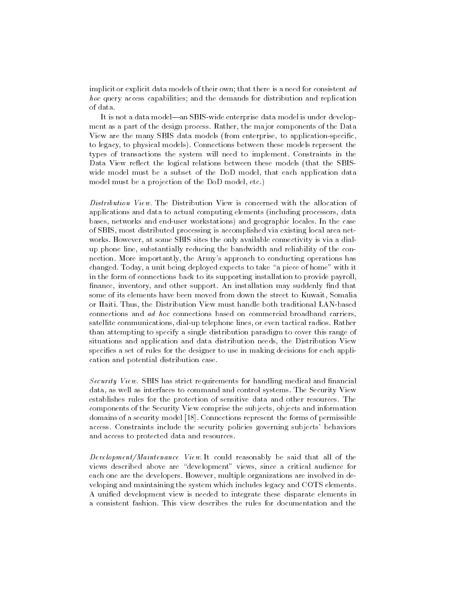implicit or explicit data models of their own; that there is a need for consistent ad hoc query access capabilities; and the demands for distribution and replication

It is not a data model—an SBIS-wide enterprise data model is under development as a part of the design process. Rather, the major components of the Data View are the many SBIS data models (from enterprise, to application-specic, to legacy, to physical models). Connections between these models represent the types of transactions the system will need to implement. Constraints in the Data View reflect the logical relations between these models (that the SBISwide model must be a subset of the DoD model, that each application data model must be a projection of the DoD model, etc.)

Distribution View. The Distribution View is concerned with the allocation of applications and data to actual computing elements (including processors, data bases, networks and end-user workstations) and geographic locales. In the case of SBIS, most distributed processing is accomplished via existing local area net works. However, at some SBIS sites the only available connectivity is via a dialup phone line, substantially reducing the bandwidth and reliability of the connection. More importantly, the Army's approach to conducting operations has changed. Today, a unit being deployed expects to take "a piece of home" with it in the form of connections back to its supporting installation to provide payroll, finance, inventory, and other support. An installation may suddenly find that some of its elements have been moved from down the street to Kuwait, Somalia or Haiti. Thus, the Distribution View must handle both traditional LAN-based connections and ad hoc connections based on commercial broadband carriers, satellite communications, dial-up telephone lines, or even tactical radios. Rather than attempting to specify a single distribution paradigm to cover this range of situations and application and data distribution needs, the Distribution View specifies a set of rules for the designer to use in making decisions for each application and potential distribution case.

Security View. SBIS has strict requirements for handling medical and financial data, as well as interfaces to command and control systems. The Security View establishes rules for the protection of sensitive data and other resources. The components of the Security View comprise the subjects, objects and information domains of a security model [18]. Connections represent the forms of permissible access. Constraints include the security policies governing subjects' behaviors and access to protected data and resources.

Development/Maintenance View. It could reasonably be said that all of the views described above are "development" views, since a critical audience for each one are the developers. However, multiple organizations are involved in developing and maintaining the system which includes legacy and COTS elements. A unied development view is needed to integrate these disparate elements in a consistent fashion. This view describes the rules for documentation and the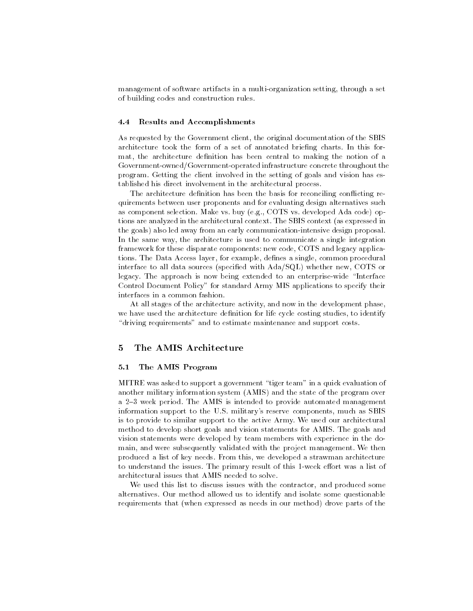management of software artifacts in a multi-organization setting, through a set of building codes and construction rules.

### 4.4 Results and Accomplishments

As requested by the Government client, the original documentation of the SBIS architecture took the form of a set of annotated briefing charts. In this format, the architecture definition has been central to making the notion of a Government-owned/Government-operated infrastructure concrete throughout the program. Getting the client involved in the setting of goals and vision has established his direct involvement in the architectural process.

The architecture definition has been the basis for reconciling conflicting requirements between user proponents and for evaluating design alternatives such as component selection. Make vs. buy (e.g., COTS vs. developed Ada code) options are analyzed in the architectural context. The SBIS context (as expressed in the goals) also led away from an early communication-intensive design proposal. In the same way, the architecture is used to communicate a single integration framework for these disparate components: new code, COTS and legacy applications. The Data Access layer, for example, defines a single, common procedural interface to all data sources (specied with Ada/SQL) whether new, COTS or legacy. The approach is now being extended to an enterprise-wide "Interface Control Document Policy" for standard Army MIS applications to specify their interfaces in a common fashion.

At all stages of the architecture activity, and now in the development phase, we have used the architecture definition for life cycle costing studies, to identify "driving requirements" and to estimate maintenance and support costs.

# 5 The AMIS Architecture

#### $5.1$ The AMIS Program

MITRE was asked to support a government "tiger team" in a quick evaluation of another military information system (AMIS) and the state of the program over a 2-3 week period. The AMIS is intended to provide automated management information support to the U.S. military's reserve components, much as SBIS is to provide to similar support to the active Army. We used our architectural method to develop short goals and vision statements for AMIS. The goals and vision statements were developed by team members with experience in the domain, and were subsequently validated with the project management. We then produced a list of key needs. From this, we developed a strawman architecture to understand the issues. The primary result of this 1-week effort was a list of architectural issues that AMIS needed to solve.

We used this list to discuss issues with the contractor, and produced some alternatives. Our method allowed us to identify and isolate some questionable requirements that (when expressed as needs in our method) drove parts of the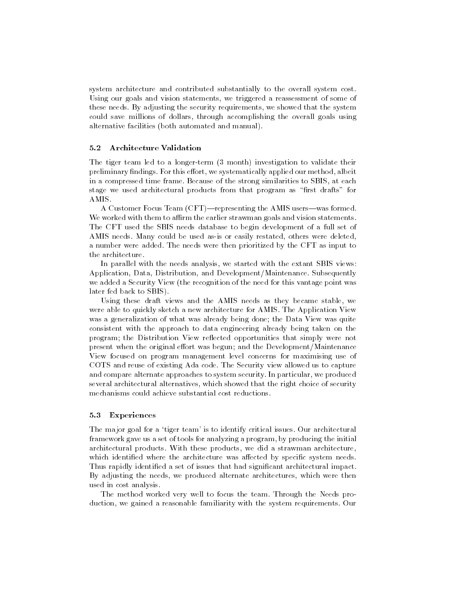system architecture and contributed substantially to the overall system cost. Using our goals and vision statements, we triggered a reassessment of some of these needs. By adjusting the security requirements, we showed that the system could save millions of dollars, through accomplishing the overall goals using alternative facilities (both automated and manual).

# 5.2 Architecture Validation

The tiger team led to a longer-term (3 month) investigation to validate their preliminary findings. For this effort, we systematically applied our method, albeit in a compressed time frame. Because of the strong similarities to SBIS, at each stage we used architectural products from that program as "first drafts" for AMIS.

A Customer Focus Team (CFT)—representing the AMIS users—was formed. We worked with them to affirm the earlier strawman goals and vision statements. The CFT used the SBIS needs database to begin development of a full set of AMIS needs. Many could be used as-is or easily restated, others were deleted, a number were added. The needs were then prioritized by the CFT as input to the architecture.

In parallel with the needs analysis, we started with the extant SBIS views: Application, Data, Distribution, and Development/Maintenance. Subsequently we added a Security View (the recognition of the need for this vantage point was later fed back to SBIS).

Using these draft views and the AMIS needs as they became stable, we were able to quickly sketch a new architecture for AMIS. The Application View was a generalization of what was already being done; the Data View was quite consistent with the approach to data engineering already being taken on the program; the Distribution View reflected opportunities that simply were not present when the original effort was begun; and the Development/Maintenance View focused on program management level concerns for maximising use of COTS and reuse of existing Ada code. The Security view allowed us to capture and compare alternate approaches to system security. In particular, we produced several architectural alternatives, which showed that the right choice of security mechanisms could achieve substantial cost reductions.

### 5.3 Experiences

The major goal for a 'tiger team' is to identify critical issues. Our architectural framework gave us a set of tools for analyzing a program, by producing the initial architectural products. With these products, we did a strawman architecture, which identified where the architecture was affected by specific system needs. Thus rapidly identied a set of issues that had signicant architectural impact. By adjusting the needs, we produced alternate architectures, which were then used in cost analysis.

The method worked very well to focus the team. Through the Needs production, we gained a reasonable familiarity with the system requirements. Our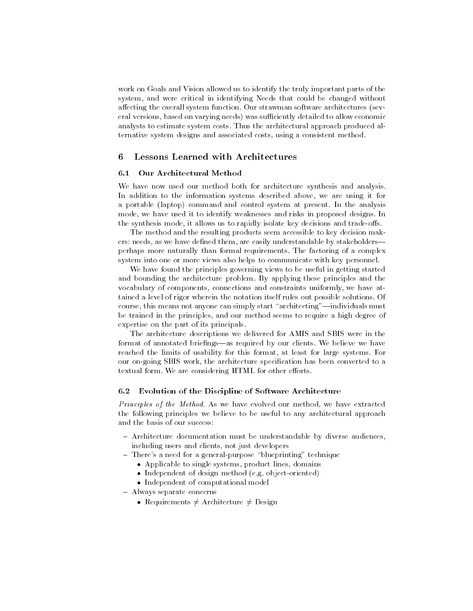work on Goals and Vision allowed us to identify the truly important parts of the system, and were critical in identifying Needs that could be changed without affecting the overall system function. Our strawman software architectures (several versions, based on varying needs) was sufficiently detailed to allow economic analysts to estimate system costs. Thus the architectural approach produced alternative system designs and associated costs, using a consistent method.

# 6 Lessons Learned with Architectures

#### $6.1$ **Our Architectural Method**

We have now used our method both for architecture synthesis and analysis. In addition to the information systems described above, we are using it for a portable (laptop) command and control system at present. In the analysis mode, we have used it to identify weaknesses and risks in proposed designs. In the synthesis mode, it allows us to rapidly isolate key decisions and trade-offs.

The method and the resulting products seem accessible to key decision makers: needs, as we have defined them, are easily understandable by stakeholdersperhaps more naturally than formal requirements. The factoring of a complex system into one or more views also helps to communicate with key personnel.

We have found the principles governing views to be useful in getting started and bounding the architecture problem. By applying these principles and the vocabulary of components, connections and constraints uniformly, we have attained a level of rigor wherein the notation itself rules out possible solutions. Of course, this means not anyone can simply start "architecting"—individuals must be trained in the principles, and our method seems to require a high degree of expertise on the part of its principals.

The architecture descriptions we delivered for AMIS and SBIS were in the format of annotated briefings-as required by our clients. We believe we have reached the limits of usability for this format, at least for large systems. For our on-going SBIS work, the architecture specication has been converted to a textual form. We are considering HTML for other efforts.

### 6.2 Evolution of the Discipline of Software Architecture

Principles of the Method. As we have evolved our method, we have extracted the following principles we believe to be useful to any architectural approach and the basis of our success:

- Architecture documentation must be understandable by diverse audiences, including users and clients, not just developers
- There's a need for a general-purpose "blueprinting" technique
	- Applicable to single systems, product lines, domains
	- Independent of design method (e.g. object-oriented)
	- Independent of computational model
- { Always separate concerns
	- Requirements  $\neq$  Architecture  $\neq$  Design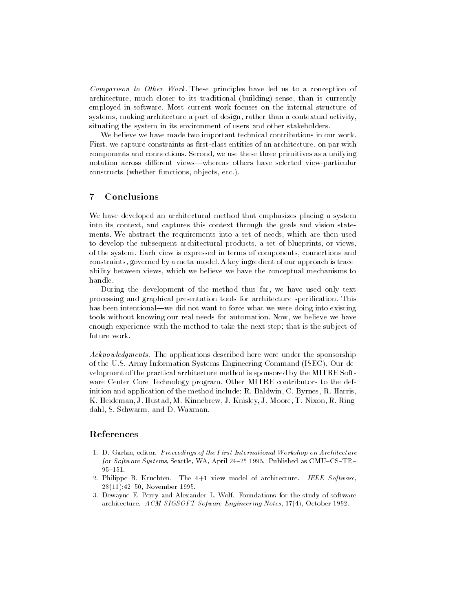Comparison to Other Work. These principles have led us to a conception of architecture, much closer to its traditional (building) sense, than is currently employed in software. Most current work focuses on the internal structure of systems, making architecture a part of design, rather than a contextual activity, situating the system in its environment of users and other stakeholders.

We believe we have made two important technical contributions in our work. First, we capture constraints as first-class entities of an architecture, on par with components and connections. Second, we use these three primitives as a unifying notation across different views-whereas others have selected view-particular constructs (whether functions, objects, etc.).

#### $\overline{7}$ Conclusions

We have developed an architectural method that emphasizes placing a system into its context, and captures this context through the goals and vision state ments. We abstract the requirements into a set of needs, which are then used to develop the subsequent architectural products, a set of blueprints, or views, of the system. Each view is expressed in terms of components, connections and constraints, governed by a meta-model. A key ingredient of our approach is traceability between views, which we believe we have the conceptual mechanisms to handle.

During the development of the method thus far, we have used only text processing and graphical presentation tools for architecture specification. This has been intentional—we did not want to force what we were doing into existing tools without knowing our real needs for automation. Now, we believe we have enough experience with the method to take the next step; that is the subject of future work.

Acknowledgments. The applications described here were under the sponsorship of the U.S. Army Information Systems Engineering Command (ISEC). Our development of the practical architecture method is sponsored by the MITRE Soft ware Center Core Technology program. Other MITRE contributors to the definition and application of the method include: R. Baldwin, C. Byrnes, R. Harris, K. Heideman, J. Hustad, M. Kinnebrew, J. Knisley, J. Moore, T. Nixon, R. Ringdahl, S. Schwarm, and D. Waxman.

# References

- 1. D. Garlan, editor. Proceedings of the First International Workshop on Architecture for Software Systems, Seattle, WA, April 24-25 1995. Published as CMU-CS-TR- $95 - 151$ .
- 2. Philippe B. Kruchten. The 4+1 view model of architecture. IEEE Software, 28(11):42-50, November 1995.
- 3. Dewayne E. Perry and Alexander L. Wolf. Foundations for the study of software architecture. ACM SIGSOFT Sofware Engineering Notes, 17(4), October 1992.